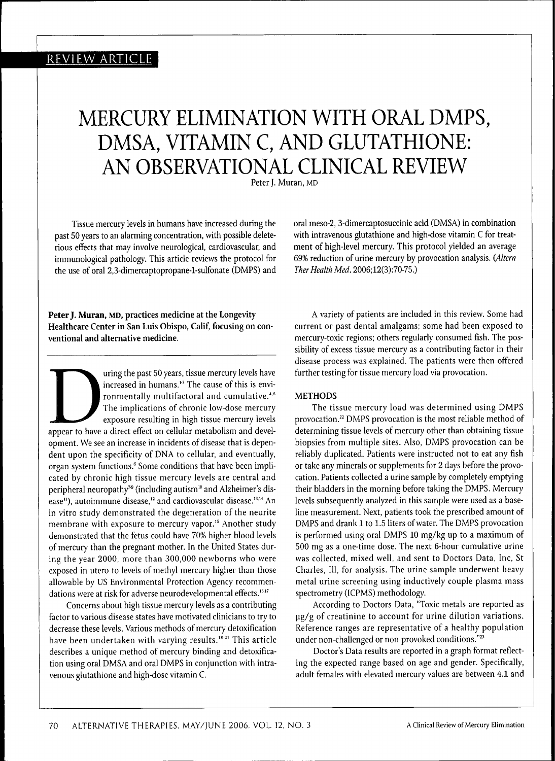### REVIEW ARTICLE

## MERCURY ELIMINATION WITH ORAL DMPS, DMSA, VITAMIN C, AND GLUTATHIONE: AN OBSERVATIONAL CLINICAL REVIEW

Peter J. Muran, MD

Tissue mercury levels in humans have increased during the past 50 years to an alarming concentration, with possible deleterious effects that may involve neurological, cardiovascular, and immunological pathology. This article reviews the protocol for the use of oral 2,3-dimercaptopropane-l-sulfonate (DMPS) and

with intravenous glutathione and high-dose vitamin C for treatment of high-level mercury. This protocol yielded an average 69% reduction of urine mercury by provocation analysis. *{Altern Ther Health Med.* 2006;12(3):70-75.)

oral meso-2, 3-dimercaptosuccinic acid (DMSA) in combination

**PeterJ. Muran, MD, practices medicine at the Longevity Healthcare Center in San Luis Obispo, Calif, focusing on conventional and alternative medicine.**

The unit of this is environmentally multifactoral and cumulative.<sup>4,5</sup><br>The implications of chronic low-dose mercury<br>exposure resulting in high tissue mercury levels<br>appear to have a direct effect on cellular metabolism and uring the past 50 years, tissue mercury levels have increased in humans.<sup>13</sup> The cause of this is environmentally multifactoral and cumulative. $4.5$ The implications of chronic low-dose mercury exposure resulting in high tissue mercury levels opment. We see an increase in incidents of disease that is dependent upon the specificity of DNA to cellular, and eventually, organ system functions.' Some conditions that have been implicated by chronic high tissue mercury levels are central and peripheral neuropathy<sup>79</sup> (including autism<sup>10</sup> and Alzheimer's disease<sup>11</sup>), autoimmune disease,<sup>12</sup> and cardiovascular disease.<sup>13,14</sup> An in vitro study demonstrated the degeneration of the neurite membrane with exposure to mercury vapor.<sup>15</sup> Another study demonstrated that the fetus could have 70% higher blood levels of mercury than the pregnant mother. In the United States during the year 2000, more than 300,000 newborns who were exposed in utero to levels of methyl mercury higher than those allowable by US Environmental Protection Agency recommendations were at risk for adverse neurodevelopmental effects.<sup>16,17</sup>

Concerns about high tissue mercury levels as a contributing factor to various disease states have motivated clinicians to try to decrease these levels. Various methods of mercury detoxification have been undertaken with varying results.<sup>18-21</sup> This article describes a unique method of mercury binding and detoxification using oral DMSA and oral DMPS in conjunction with intravenous glutathione and high-dose vitamin C.

A variety of patients are included in this review. Some had current or past dental amalgams; some had been exposed to mercury-toxic regions; others regularly consumed fish. The possibility of excess tissue mercury as a contributing factor in their disease process was explained. The patients were then offered further testing for tissue mercury load via provocation.

#### **METHODS**

The tissue mercury load was determined using DMPS provocation.<sup>22</sup> DMPS provocation is the most reliable method of determining tissue levels of mercury other than obtaining tissue biopsies from multiple sites. Also, DMPS provocation can be reliably duplicated. Patients were instructed not to eat any fish or take any minerals or supplements for 2 days before the provocation. Patients collected a urine sample by completely emptying their bladders in the morning before taking the DMPS. Mercury levels subsequently analyzed in this sample were used as a baseline measurement. Next, patients took the prescribed amount of DMPS and drank 1 to 1.5 liters of water. The DMPS provocation is performed using oral DMPS 10 mg/kg up to a maximum of 500 mg as a one-time dose. The next 6-hour cumulative urine was collected, mixed well, and sent to Doctors Data, Inc, St Charles, 111, for analysis. The urine sample underwent heavy metal urine screening using inductively couple plasma mass spectrometry (ICPMS) methodology.

According to Doctors Data, "Toxic metals are reported as pg/g of creatinine to account for urine dilution variations. Reference ranges are representative of a healthy population under non-challenged or non-provoked conditions."<sup>23</sup>

Doctor's Data results are reported in a graph format reflecting the expected range based on age and gender. Specifically, adult females with elevated mercury values are between 4.1 and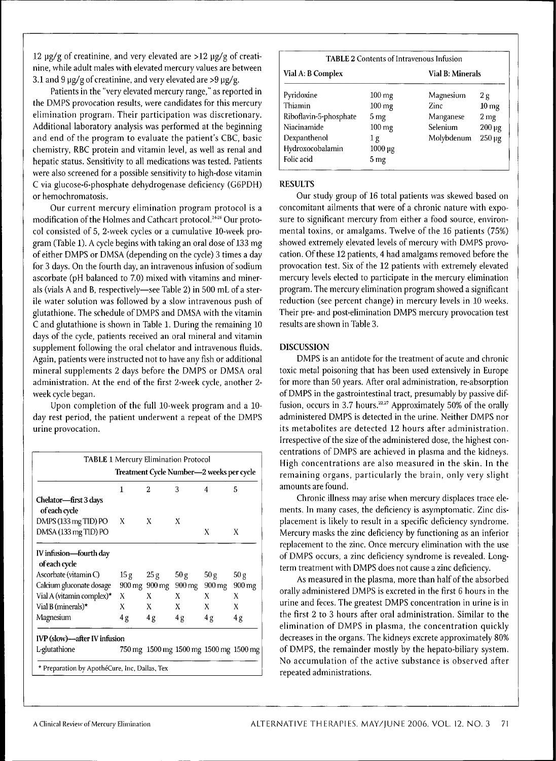12  $\mu$ g/g of creatinine, and very elevated are >12  $\mu$ g/g of creatinine, while adult males with elevated mercury values are between 3.1 and 9  $\mu$ g/g of creatinine, and very elevated are >9  $\mu$ g/g.

Patients in the "very elevated mercury range," as reported in the DMPS provocation results, were candidates for this mercury elimination program. Their participation was discretionary. Additional laboratory analysis was performed at the beginning and end of the program to evaluate the patient's CBC, basic chemistry, RBC protein and vitamin level, as well as renal and hepatic status. Sensitivity to all medications was tested. Patients were also screened for a possible sensitivity to high-dose vitamin C via glucose-6-phosphate dehydrogenase deficiency (G6PDH) or hemochromatosis.

Our current mercury elimination program protocol is a modification of the Holmes and Cathcart protocol.<sup>2426</sup> Our protocol consisted of 5, 2-week cycles or a cumulative 10-week program (Table 1). A cycle begins with taking an oral dose of 133 mg of either DMPS or DMSA (depending on the cycle) 3 times a day for 3 days. On the fourth day, an intravenous infusion of sodium ascorbate (pH balanced to 7.0) mixed with vitamins and minerals (vials A and B, respectively—see Table 2) in 500 mL of a sterile water solution was followed by a slow intravenous push of glutathione. The schedule of DMPS and DMSA with the vitamin C and glutathione is shown in Table 1. During the remaining 10 days of the cycle, patients received an oral mineral and vitamin supplement following the oral chelator and intravenous fluids. Again, patients were instructed not to have any fish or additional mineral supplements 2 days before the DMPS or DMSA oral administration. At the end of the first 2-week cycle, another 2 week cycle began.

Upon completion of the full 10-week program and a 10 day rest period, the patient underwent a repeat of the DMPS urine provocation.

|                                               |     |                       | Treatment Cycle Number—2 weeks per cycle |                                                          |  |  |  |  |  |  |  |
|-----------------------------------------------|-----|-----------------------|------------------------------------------|----------------------------------------------------------|--|--|--|--|--|--|--|
| 1                                             | 2   | 3                     | 4                                        | 5                                                        |  |  |  |  |  |  |  |
|                                               |     |                       |                                          |                                                          |  |  |  |  |  |  |  |
| X                                             | X   | Х                     |                                          |                                                          |  |  |  |  |  |  |  |
|                                               |     |                       | X                                        | X                                                        |  |  |  |  |  |  |  |
|                                               |     |                       |                                          |                                                          |  |  |  |  |  |  |  |
|                                               |     |                       |                                          |                                                          |  |  |  |  |  |  |  |
|                                               |     |                       |                                          | 50 g                                                     |  |  |  |  |  |  |  |
|                                               |     |                       |                                          | 900 mg                                                   |  |  |  |  |  |  |  |
| X                                             | X   | X                     | X                                        | X                                                        |  |  |  |  |  |  |  |
| X                                             | X   | X                     | X                                        | X                                                        |  |  |  |  |  |  |  |
| 4g                                            | 4 g | 4g                    | 4g                                       | 4g                                                       |  |  |  |  |  |  |  |
| IVP (slow)—after IV infusion                  |     |                       |                                          |                                                          |  |  |  |  |  |  |  |
|                                               |     |                       |                                          |                                                          |  |  |  |  |  |  |  |
| * Preparation by ApothéCure, Inc, Dallas, Tex | 15g | 25 g<br>900 mg 900 mg | 50 g<br>900 mg                           | 50 g<br>900 mg<br>750 mg 1500 mg 1500 mg 1500 mg 1500 mg |  |  |  |  |  |  |  |

| <b>TABLE 2 Contents of Intravenous Infusion</b> |                     |            |                        |  |  |  |  |
|-------------------------------------------------|---------------------|------------|------------------------|--|--|--|--|
| Vial A: B Complex                               | Vial B: Minerals    |            |                        |  |  |  |  |
| Pyridoxine                                      | $100 \,\mathrm{mg}$ | Magnesium  | 2g                     |  |  |  |  |
| Thiamin                                         | $100 \text{ mg}$    | Zinc       | 10 <sub>mg</sub>       |  |  |  |  |
| Riboflavin-5-phosphate                          | 5 mg                | Manganese  | 2 <sub>mg</sub>        |  |  |  |  |
| Niacinamide                                     | $100 \,\mathrm{mg}$ | Selenium   | $200 \,\mathrm{\mu g}$ |  |  |  |  |
| Dexpanthenol                                    | 1 g                 | Molybdenum | $250 \mu g$            |  |  |  |  |
| Hydroxocobalamin                                | 1000 µg             |            |                        |  |  |  |  |
| Folic acid                                      | 5 mg                |            |                        |  |  |  |  |

#### **RESULTS**

Our study group of 16 total patients was skewed based on concomitant ailments that were of a chronic nature with exposure to significant mercury from either a food source, environmental toxins, or amalgams. Twelve of the 16 patients (75%) showed extremely elevated levels of mercury with DMPS provocation. Of these 12 patients, 4 had amalgams removed before the provocation test. Six of the 12 patients with extremely elevated mercury levels elected to participate in the mercury elimination program. The mercury elimination program showed a significant reduction (see percent change) in mercury levels in 10 weeks. Their pre- and post-elimination DMPS mercury provocation test results are shown in Table 3.

#### **DISCUSSION**

DMPS is an antidote for the treatment of acute and chronic toxic metal poisoning that has been used extensively in Europe for more than 50 years. After oral administration, re-absorption of DMPS in the gastrointestinal tract, presumably by passive diffusion, occurs in 3.7 hours.<sup> $22,27$ </sup> Approximately 50% of the orally administered DMPS is detected in the urine. Neither DMPS nor its metabolites are detected 12 hours after administration. Irrespective of the size of the administered dose, the highest concentrations of DMPS are achieved in plasma and the kidneys. High concentrations are also measured in the skin. In the remaining organs, particularly the brain, only very slight amounts are found.

Chronic illness may arise when mercury displaces trace elements. In many cases, the deficiency is asymptomatic. Zinc displacement is likely to result in a specific deficiency syndrome. Mercury masks the zinc deflciency by functioning as an inferior replacement to the zinc. Once mercury elimination with the use of DMPS occurs, a zinc deficiency syndrome is revealed. Longterm treatment with DMPS does not cause a zinc deficiency.

As measured in the plasma, more than half of the absorbed orally administered DMPS is excreted in the first 6 hours in the urine and feces. The greatest DMPS concentration in urine is in the first 2 to 3 hours after oral administration. Similar to the elimination of DMPS in plasma, the concentration quickly decreases in the organs. The kidneys excrete approximately 80% of DMPS, the remainder mostly by the hepato-biliary system. No accumulation of the active substance is observed after repeated administrations.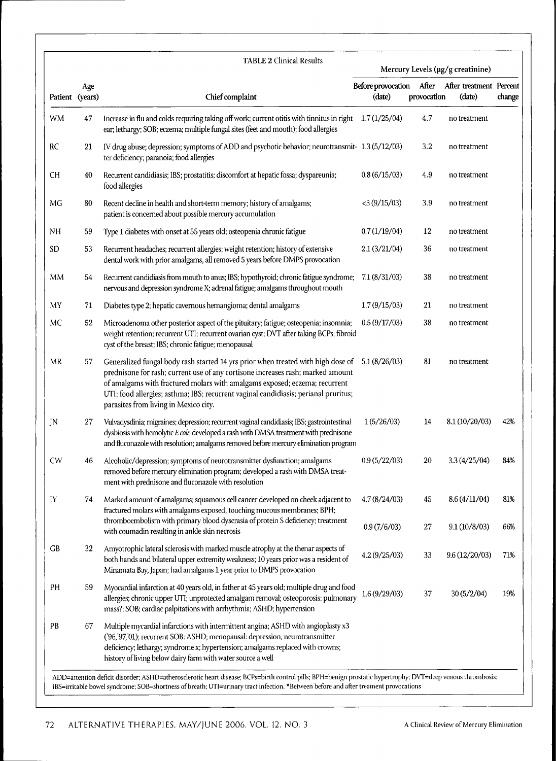| Patient (years) |                                                                                                                                                           | <b>TABLE 2 Clinical Results</b>                                                                                                                                                                                                                                                                                                                                                   | Mercury Levels (µg/g creatinine) |                      |                                   |        |  |
|-----------------|-----------------------------------------------------------------------------------------------------------------------------------------------------------|-----------------------------------------------------------------------------------------------------------------------------------------------------------------------------------------------------------------------------------------------------------------------------------------------------------------------------------------------------------------------------------|----------------------------------|----------------------|-----------------------------------|--------|--|
|                 | Age                                                                                                                                                       | Chief complaint                                                                                                                                                                                                                                                                                                                                                                   | Before provocation<br>(date)     | After<br>provocation | After treatment Percent<br>(date) | change |  |
| WM              | 47                                                                                                                                                        | Increase in flu and colds requiring taking off work; current otitis with tinnitus in right 1.7 (1/25/04)<br>ear; lethargy; SOB; eczema; multiple fungal sites (feet and mouth); food allergies                                                                                                                                                                                    |                                  | 4.7                  | no treatment                      |        |  |
| RC              | 21                                                                                                                                                        | IV drug abuse; depression; symptoms of ADD and psychotic behavior; neurotransmit- 1.3 (5/12/03)<br>ter deficiency; paranoia; food allergies                                                                                                                                                                                                                                       |                                  | 3.2                  | no treatment                      |        |  |
| <b>CH</b>       | 40                                                                                                                                                        | Recurrent candidiasis; IBS; prostatitis; discomfort at hepatic fossa; dyspareunia;<br>food allergies                                                                                                                                                                                                                                                                              | 0.8(6/15/03)                     | 4.9                  | no treatment                      |        |  |
| ΜG              | 80                                                                                                                                                        | Recent decline in health and short-term memory; history of amalgams;<br>patient is concerned about possible mercury accumulation                                                                                                                                                                                                                                                  | $<$ 3 (9/15/03)                  | 3.9                  | no treatment                      |        |  |
| NH              | 59                                                                                                                                                        | Type 1 diabetes with onset at 55 years old; osteopenia chronic fatigue                                                                                                                                                                                                                                                                                                            | 0.7(1/19/04)                     | 12                   | no treatment                      |        |  |
| SD <sub>1</sub> | 53                                                                                                                                                        | Recurrent headaches; recurrent allergies; weight retention; history of extensive<br>dental work with prior amalgams, all removed 5 years before DMPS provocation                                                                                                                                                                                                                  | 2.1(3/21/04)                     | 36                   | no treatment                      |        |  |
| MM              | 54                                                                                                                                                        | Recurrent candidiasis from mouth to anus; IBS; hypothyroid; chronic fatigue syndrome;<br>nervous and depression syndrome X; adrenal fatigue; amalgams throughout mouth                                                                                                                                                                                                            | 7.1(8/31/03)                     | 38                   | no treatment                      |        |  |
| MY              | 71                                                                                                                                                        | Diabetes type 2; hepatic cavernous hemangioma; dental amalgams                                                                                                                                                                                                                                                                                                                    | 1.7(9/15/03)                     | 21                   | no treatment                      |        |  |
| MC              | 52                                                                                                                                                        | Microadenoma other posterior aspect of the pituitary; fatigue; osteopenia; insomnia;<br>weight retention; recurrent UTI; recurrent ovarian cyst; DVT after taking BCPs; fibroid<br>cyst of the breast; IBS; chronic fatigue; menopausal                                                                                                                                           | 0.5(9/17/03)                     | 38                   | no treatment                      |        |  |
| MR              | 57                                                                                                                                                        | Generalized fungal body rash started 14 yrs prior when treated with high dose of<br>prednisone for rash; current use of any cortisone increases rash; marked amount<br>of amalgams with fractured molars with amalgams exposed; eczema; recurrent<br>UTI; food allergies; asthma; IBS; recurrent vaginal candidiasis; perianal pruritus;<br>parasites from living in Mexico city. | 5.1(8/26/03)                     | 81                   | no treatment                      |        |  |
| JN              | 27                                                                                                                                                        | Vulvadysdinia; migraines; depression; recurrent vaginal candidiasis; IBS; gastrointestinal<br>dysbiosis with hemolytic E coli; developed a rash with DMSA treatment with prednisone<br>and fluconazole with resolution; amalgams removed before mercury elimination program                                                                                                       | 1(5/26/03)                       | 14                   | 8.1(10/20/03)                     | 42%    |  |
| <b>CW</b>       | 46                                                                                                                                                        | Alcoholic/depression; symptoms of neurotransmitter dysfunction; amalgams<br>removed before mercury elimination program; developed a rash with DMSA treat-<br>ment with prednisone and fluconazole with resolution                                                                                                                                                                 | 0.9(5/22/03)                     | 20                   | 3.3(4/25/04)                      | 84%    |  |
| IY<br>74        | Marked amount of amalgams; squamous cell cancer developed on cheek adjacent to<br>fractured molars with amalgams exposed, touching mucous membranes; BPH; | 4.7(8/24/03)                                                                                                                                                                                                                                                                                                                                                                      | 45                               | 8.6(4/11/04)         | 81%                               |        |  |
|                 |                                                                                                                                                           | thromboembolism with primary blood dyscrasia of protein S deficiency; treatment<br>with coumadin resulting in ankle skin necrosis                                                                                                                                                                                                                                                 | 0.9(7/6/03)                      | 27                   | 9.1(10/8/03)                      | 66%    |  |
| GB              | 32                                                                                                                                                        | Amyotrophic lateral sclerosis with marked muscle atrophy at the thenar aspects of<br>both hands and bilateral upper extremity weakness; 10 years prior was a resident of<br>Minamata Bay, Japan; had amalgams 1 year prior to DMPS provocation                                                                                                                                    | 4.2(9/25/03)                     | 33                   | 9.6(12/20/03)                     | 71%    |  |
| PH              | 59                                                                                                                                                        | Myocardial infarction at 40 years old, in father at 45 years old; multiple drug and food<br>allergies; chronic upper UTI; unprotected amalgam removal; osteoporosis; pulmonary<br>mass?; SOB; cardiac palpitations with arrhythmia; ASHD; hypertension                                                                                                                            | 1.6(9/29/03)                     | 37                   | 30(5/2/04)                        | 19%    |  |
| PB              | 67                                                                                                                                                        | Multiple mycardial infarctions with intermittent angina; ASHD with angioplasty x3<br>('96,'97,'01); recurrent SOB: ASHD; menopausal: depression, neurotransmitter<br>deficiency; lethargy; syndrome x; hypertension; amalgams replaced with crowns;<br>history of living below dairy farm with water source a well                                                                |                                  |                      |                                   |        |  |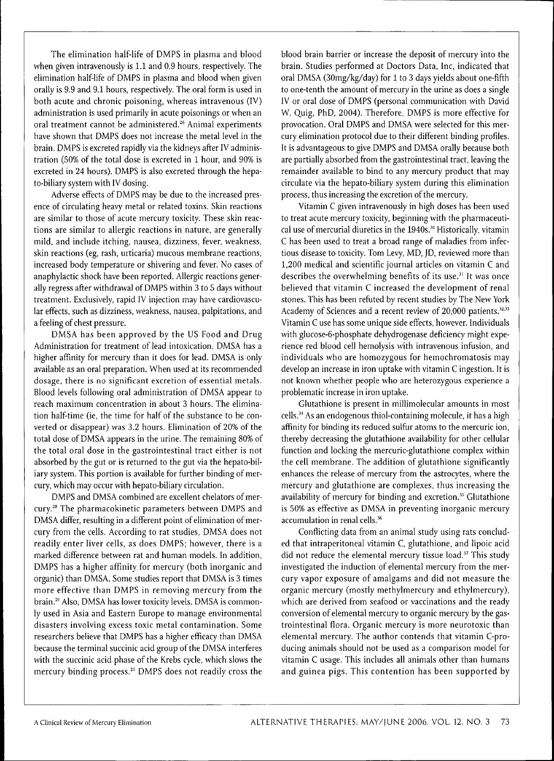The elimination half-life of DMPS in plasma and blood when given intravenously is 1.1 and 0.9 hours, respectively. The elimination half-life of DMPS in plasma and blood when given orally is 9.9 and 9.1 hours, respectively. The oral form is used in both acute and chronic poisoning, whereas intravenous (IV) administration is used primarily in acute poisonings or when an oral treatment cannot be administered.^' Animal experiments have shown that DMPS does not increase the metal level in the brain. DMPS is excreted rapidly via the kidneys after IV administration (50% of the total dose is excreted in 1 hour, and 90% is excreted in 24 hours). DMPS is also excreted through the hepato-biliary system with IV dosing.

Adverse effects of DMPS may be due to the increased presence of circulating heavy metal or related toxins. Skin reactions are similar to those of acute mercury toxicity. These skin reactions are similar to allergic reactions in nature, are generally mild, and include itching, nausea, dizziness, fever, weakness, skin reactions (eg, rash, urticaria) mucous membrane reactions, increased body temperature or shivering and fever. No cases of anaphylactic shock have been reported. Allergic reactions generally regress after withdrawal of DMPS within 3 to 5 days without treatment. Exclusively, rapid IV injection may have cardiovascular effects, such as dizziness, weakness, nausea, palpitations, and a feeling of chest pressure.

DMSA has been approved by the US Food and Drug Administration for treatment of lead intoxication. DMSA has a higher affinity for mercury than it does for lead. DMSA is only available as an oral preparation. When used at its recommended dosage, there is no significant excretion of essential metals. Blood levels following oral administration of DMSA appear to reach maximum concentration in about 3 hours. The elimination half-time (ie, the time for half of the substance to be converted or disappear) was 3.2 hours. Elimination of 20% of the total dose of DMSA appears in the urine. The remaining 80% of the total oral dose in the gastrointestinal tract either is not absorbed by the gut or is returned to the gut via the hepato-biliary system. This portion is available for further binding of mercury, which may occur with hepato-biliary circulation.

DMPS and DMSA combined are excellent chelators of mercury.<sup>28</sup> The pharmacokinetic parameters between DMPS and DMSA differ, resulting in a different point of elimination of mercury from the cells. According to rat studies, DMSA does not readily enter liver cells, as does DMPS; however, there is a marked difference between rat and human models. In addition, DMPS has a higher affinity for mercury (both inorganic and organic) than DMSA. Some studies report that DMSA is 3 times more effective than DMPS in removing mercury from the brain.<sup>29</sup> Also, DMSA has lower toxicity levels. DMSA is commonly used in Asia and Eastern Europe to manage environmental disasters involving excess toxic metal contamination. Some researchers believe that DMPS has a higher efficacy than DMSA because the terminal succinic acid group of the DMSA interferes with the succinic acid phase of the Krebs cycle, which slows the mercury binding process.<sup>21</sup> DMPS does not readily cross the

blood brain barrier or increase the deposit of mercury into the brain. Studies performed at Doctors Data, Inc, indicated that oral DMSA (30mg/kg/day) for 1 to 3 days yields about one-fifth to one-tenth the amount of mercury in the urine as does a single IV or oral dose of DMPS (personal communication with David W. Quig, PhD, 2004). Therefore, DMPS is more effective for provocation. Oral DMPS and DMSA were selected for this mercury elimination protocol due to their different binding profiles. It is advantageous to give DMPS and DMSA orally because both are partially absorbed from the gastrointestinal tract, leaving the remainder available to bind to any mercury product that may circulate via the hepato-biliary system during this elimination process, thus increasing the excretion of the mercury.

Vitamin C given intravenously in high doses has been used to treat acute mercury toxicity, beginning with the pharmaceutical use of mercurial diuretics in the 1940s.<sup>30</sup> Historically, vitamin C has been used to treat a broad range of maladies from infectious disease to toxicity. Tom Levy, MD, JD, reviewed more than 1,200 medical and scientific journal articles on vitamin C and describes the overwhelming benefits of its use.<sup>31</sup> It was once believed that vitamin C increased the development of renal stones. This has been refuted by recent studies by The New York Academy of Sciences and a recent review of 20,000 patients.<sup>32,33</sup> Vitamin C use has some unique side effects, however. Individuals with glucose-6-phosphate dehydrogenase deficiency might experience red blood cell hemolysis with intravenous infusion, and individuals who are homozygous for hemochromatosis may develop an increase in iron uptake with vitamin C ingestion. It is not known whether people who are heterozygous experience a problematic increase in iron uptake.

Glutathione is present in millimolecular amounts in most cells." As an endogenous thiol-containing molecule, it has a high affinity for binding its reduced sulfur atoms to the mercuric ion, thereby decreasing the glutathione availability for other cellular function and locking the mercuric-glutathione complex within the cell membrane. The addition of glutathione significantly enhances the release of mercury from the astrocytes, where the mercury and glutathione are complexes, thus increasing the availability of mercury for binding and excretion.<sup>35</sup> Glutathione is 50% as effective as DMSA in preventing inorganic mercury accumulation in renal cells."

Conflicting data from an animal study using rats concluded that intraperitoneal vitamin C, glutathione, and lipoic acid did not reduce the elemental mercury tissue load.<sup>37</sup> This study investigated the induction of elemental mercury from the mercury vapor exposure of amalgams and did not measure the organic mercury (mostly methylmercury and ethylmercury), which are derived from seafood or vaccinations and the ready conversion of elemental mercury to organic mercury by the gastrointestinal flora. Organic mercury is more neurotoxic than elemental mercury. The author contends that vitamin C-producing animals should not be used as a comparison model for vitamin C usage. This includes all animals other than humans and guinea pigs. This contention has been supported by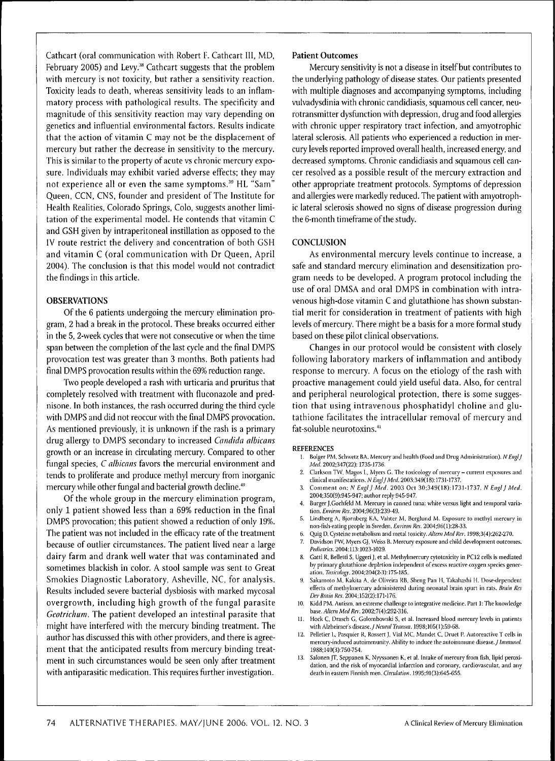Cathcart (oral communication with Robert F. Cathcart III, MD, February 2005) and Levy.<sup>38</sup> Cathcart suggests that the problem with mercury is not toxicity, but rather a sensitivity reaction. Toxicity leads to death, whereas sensitivity leads to an inflammatory process with pathological results. The specificity and magnitude of this sensitivity reaction may vary depending on genetics and influential environmental factors. Results indicate that the action of vitamin C may not be the displacement of mercury but rather the decrease in sensitivity to the mercury. This is similar to the property of acute vs chronic mercury exposure. Individuals may exhibit varied adverse effects; they may not experience all or even the same symptoms.<sup>39</sup> HL "Sam" Queen, CCN, CNS, founder and president of The Institute for Health Realities, Colorado Springs, Colo, suggests another limitation of the experimental model. He contends that vitamin C and GSH given by intraperitoneal instillation as opposed to the IV route restrict the delivery and concentration of both GSH and vitamin C (oral communication with Dr Queen, April 2004). The conclusion is that this model would not contradict the findings in this article.

#### **OBSERVATIONS**

Of the 6 patients undergoing the mercury elimination program, 2 had a break in the protocol. These breaks occurred either in the 5, 2-week cycles that were not consecutive or when the time span between the completion of the last cycle and the final DMPS provocation test was greater than 3 months. Both patients had final DMPS provocation results within the 69% reduction range.

Two people developed a rash with urticaria and pruritus that completely resolved with treatment with fluconazole and prednisone. In both instances, the rash occurred during the third cycle with DMPS and did not reoccur with the final DMPS provocation. As mentioned previously, it is unknown if the rash is a primary drug allergy to DMPS secondary to increased *Candida alhicans* growth or an increase in circulating mercury. Compared to other fungal species, C *alhicans* favors the mercurial environment and tends to proliferate and produce methyl mercury from inorganic mercury while other fungal and bacterial growth decline."

Of the whole group in the mercury elimination program, only 1 patient showed less than a 69% reduction in the final DMPS provocation; this patient showed a reduction of only 19%. The patient was not included in the efficacy rate of the treatment because of outlier circumstances. The patient lived near a large dairy farm and drank well water that was contaminated and sometimes blackish in color. A stool sample was sent to Great Smokies Diagnostic Laboratory, Asheville, NC, for analysis. Results included severe bacterial dysbiosis with marked mycosal overgrowth, including high growth of the fungal parasite *Geotrichum.* The patient developed an intestinal parasite that might have interfered with the mercury binding treatment. The author has discussed this with other providers, and there is agreement that the anticipated results from mercury binding treatment in such circumstances would be seen only after treatment with antiparasitic medication. This requires further investigation.

#### **Patient Outcomes**

Mercury sensitivity is not a disease in itself but contributes to the underlying pathology of disease states. Our patients presented with multiple diagnoses and accompanying symptoms, including vulvadysdinia with chronic candidiasis, squamous cell cancer, neurotransmitter dysfunction with depression, drug and food allergies with chronic upper respiratory tract infection, and amyotrophic lateral sclerosis. All patients who experienced a reduction in mercury levels reported improved overall health, increased energy, and decreased symptoms. Chronic candidiasis and squamous cell cancer resolved as a possible result of the mercury extraction and other appropriate treatment protocols. Symptoms of depression and allergies were markedly reduced. The patient with amyotrophic lateral sclerosis showed no signs of disease progression during the 6-month timeframe of the study.

#### **CONCLUSION**

As environmental mercury levels continue to increase, a safe and standard mercury elimination and desensitization program needs to be developed. A program protocol including the use of oral DMSA and oral DMPS in combination with intravenous high-dose vitamin C and glutathione has shown substantial merit for consideration in treatment of patients with high levels of mercury. There might be a basis for a more formal study based on these pilot clinical observations.

Changes in our protocol would be consistent with closely following laboratory markers of inflammation and antibody response to mercury. A focus on the etiology of the rash with proactive management could yield useful data. Also, for central and peripheral neurological protection, there is some suggestion that using intravenous phosphatidyl choline and glutathione facilitates the intracellular removal of mercury and fat-soluble neurotoxins.'"

#### **REFERENCES**

- 1. Bolger PM, Schwetz BA. Mercury and healtb (Food and Drug Administration). *N EnglJ Med.* 2002:347(22): 1735-1736.
- 2. Clarkson TW, Magos L, Myers C. The toxicology of niercury current exposures and clinical manifestations. *NEn^lJMed.* 2003;349(18):1731-1737.
- Comment on; *N Engl J Med.* 2003 Oct 30;349(18):1731-1737. *N Engl J Med.* 2004:350(9):945-947: author reply 945-947.
- Burger J, Gochfeld M. Mercury in canned tuna: white versus light and temporal variation. *Environ Res.* 2004;96(3):239-49.
- 5. Lindberg A, lijornberg KA, Valuer M, Berglund M. (Lxposure to methyl niercury in non-fish-eating people in Sweden. *Environ Res.* 2004;96(l):28-33.
- 6. Quig D. Cysteine metabolism and metal toxicity. *Altern Med Rev.* 1998;3(4);262-270.
- 7. Davidson PVV, Myers GJ. Weiss B. Mercury exposure and child development outcomes. Pediatrics. 2004:113:1023-1029.
- 8. Gatti R, Belletti S, Uggeri J, et al. Methylmercury cytotoxicity in PC12 cells is mediated by primary glutathione depletion independent of excess reactive oxygen species generation. *Toxicolo^'.* 2004;204(2-3): 175-185.
- 9. Sakamoto M, Kakita A, de Oliveira RB, Sheng Pan H, Takahashi H. Dose-dependent effects of methylmercury administered during neonatal brain spurt in rats. *Brain Res* Dev Brain Res. 2004;152(2):171-176.
- 10. Kidd PM. Autism, an extreme challenge to integrative medicine. Part 1: The knowledge base. Altern Med Rev. 2002;7(4):292-316.
- 11. Hock C, Drasch G, Golombowski S, et al. Increased blood mercury levels in patients with Alzheimer's *disease. J Neural Tranm.* 1998:105(l):59-68.
- 12. Pelletier L, Pasquier R, Rossert J, Vial MC, Mandet C, Druet P. Autoreactive T cells in mercury-induced autoimmunity. Ability to induce the autoimmune disease.^ *Immunol.* 1988:140(3):750-754.
- 13. Salonen JT, Seppanen K, Nyyssonen K, et al. Intake of mercury from fish, lipid peroxidation, and the risk of myocardial infarction and coronary, cardiovascular, and any death in eastern Finnish men. *Circulation.* 1995:91 (3):645-655.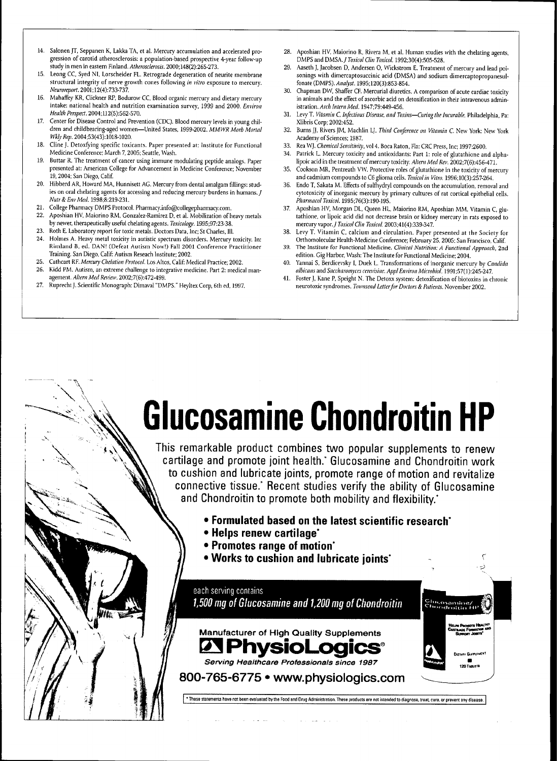- 14. Salonen JT, Seppanen K, Lakka TA, et al. Mercury accumulation and accelerated progression of carotid atherosclerosis; a population-based prospective 4-year follow-up study in men in eastern Finland. *Atherosclerosis.* 2000;148(2):265-273.
- 15. Leong CC, Syed NI, Lorscheider FL. Retrograde degeneration of neurite membrane structural integrity of nerve growth cones following *in vitro* exposure to mercury. *Neuroreport.* 2001:12(4):733-737.
- 16. Mahaffey KR, Clickner RP, Bodurow CC, Blood organic mercury and dietary mercury intake: national health and nutrition examination survey, 1999 and 2000. *Environ Heahh Perspect.* 2004:U2(5):562-570.
- 17. Center for Disease Control and Prevention (CDC). Blood mercury levels in young children and childbearing-aged women—United States, 1999-2002. *MMWR Morb Mortal Wkly Rep.* 2004;53(43):1018-1020.
- 18. Cline J. Detoxfying specific toxicants. Paper presented at: Institute for Functional Medicine Conference; March 7,2005; Seattle, Wash.
- 19. Buttar R. The treatment of cancer using immune modulating peptide analogs. Paper presented at: American College for Advancement in Medicine Conference; November .<br>19, 2004; San Diego, Calif.
- 20. Hibberd AR, Howard MA, Hunnisett AG. Mercury from dental amalgam fillings: studies on oral chelating agents for accessing and reducing mercury burdens in humans. J *Nutr&EnvMeil.* 1998:8:219-231.
- 21. College Pharmacy DMPS Protocol. Pharmacy.info@collegepharmacy.com.
- 22. Aposhian HV. Maiorino RM, Gonzalez-Ramirez D, et al. Mobilization of heavy metals by newer, therapeutically usefiil chelating agents. *Toxicology.* 1995:97:23-38.
- 23. Roth E. Laboratory report for toxic metals. Doctors Data. Inc: St Charles, 111.
- Holmes A. Heavy metal toxicity in autistic spectrum disorders. Mercury toxicity. In: Rimland B. ed. DAN! (Defeat Autism Now!) Fall 2001 Conference Practitioner Training. San Diego, Calif: Autism Reseach Institute; 2002.
- 25. Cathcart RF. Mercury Chelation Protocol. Los Altos, Calif: Medical Practice; 2002.
- 26. Kidd PM. Autism, an extreme challenge to integrative medicine. Part 2: medical management. *Altern Med Review.* 2002;7(6);472-499.
- 27. Ruprecht J. Scientific Monograph: Dimaval "DMPS." Heyltex Corp, 6th ed. 1997.
- 28. Aposhian HV, Maiorino R, Rivera M, et al. Human studies with the chelating agents. DMPS and *DMSA./Toxicol Clin Toxieol.* 1992:30(4);505-528.
- 29. Aaseth J, Jacobsen D, Andersen 0, Wickstrom E. Treatment of mercury and lead poisonings with dimercaptosuccinic acid (DMSA) and sodium dimercaptopropanesulfonate (DMPS). *Analyst.* 1995;120(3):853-854.
- 30. Chapman DW, Shaffer CF. Mercurial diuretics. A comparison of acute cardiac toxicity in animals and the effect of ascorbic acid on detoxification in their intravenous administration. *Arch Intern Med.* 1947:79:449-456.
- 31. Levy T. *Vitamin* C, *Infectious Disease, and Toxins—Curing the Incurable.* Philadelphia, Pa: Xlibris Corp: 2002:452.
- 32. Burns JJ, Rivers JM, Machlin LJ. *Third Conference on Vitamin C.* New York: New York Academy of Sciences: 1987.
- 33. Rea WJ. *Chemical Sensitivity,* vol 4. Boca Raton, Fla: CRC Press, Inc: 1997:2600.
- 34. Patrick L. Mercury toxicity and antioxidants: Part 1; role of glutathione and alphalipoic acid in the treatment of mercury toxicity. *Altern Med Rev.* 2002;7(6);456-471. 35. Cookson MR, Pentreath VW. Protective roles of glutathione in the toxicity of mercury
- and cadmium compounds to C6 glioma cells. Toxicol in Vitro. 1996;10(3):257-264.
- 36. Endo T, Sakata M. Effects of sulfhydryl compounds on the accumulation, removal and cytotoxicity of inorganic mercury by primary cultures of rat cortical epithelial cells. *Pharmacol Toxicol.* 1995;76(3):190-195.
- 37. Aposhian HV, Morgan DL, Queen HL. Maiorino RM, Aposhian MM. Vitamin C, glutathione, or lipoic acid did not decrease brain or kidney mercury in rats exposed to mercury vapor. J Toxicol Clin Toxicol. 2003;41(4):339-347.
- 38. Levy T. Vitamin C, calcium and circulation. Paper presented at the Society for Orthomolecular Health-Medicine Conference: February 25, 2005: San Francisco. Calif
- 39. The Institute for Functional Medicine. *Clinical Nutrition: A Functional Approach,* 2nd edition. Gig Harbor, Wash: The Institute for Functional Medicine; 2004.
- 40. Yannai S, Berdicevsky I, Duek L. Tran.sformations of inorganic mercury by *Candida albicans and Sacclmromyces cerei'isiae. ApplEnviron Microbiol.* 1991;57(l):245-247.
- 41. Foster J, Kane P, Speight N. The Detoxx system: detoxification of biotoxins in chronic neurotoxic syndromes. *Townsend Letter for Doctors & Patients.* November 2002.

# **Glucosamine Chondroitin HP**

This remarkable product combines two popular supplements to renew cartilage and promote joint health.\* Glucosamine and Chondroitin work to cushion and lubricate joints, promote range of motion and revitalize connective tissue.\* Recent studies verify the ability of Glucosamine and Chondroitin to promote both mobility and flexibility.<sup>\*</sup>

- • **Formulated hased on the latest scientific research'**
- **Helps renew cartilage'**
- **Promotes range of motion'**
- **Works to cushion and luhricate joints' ^**